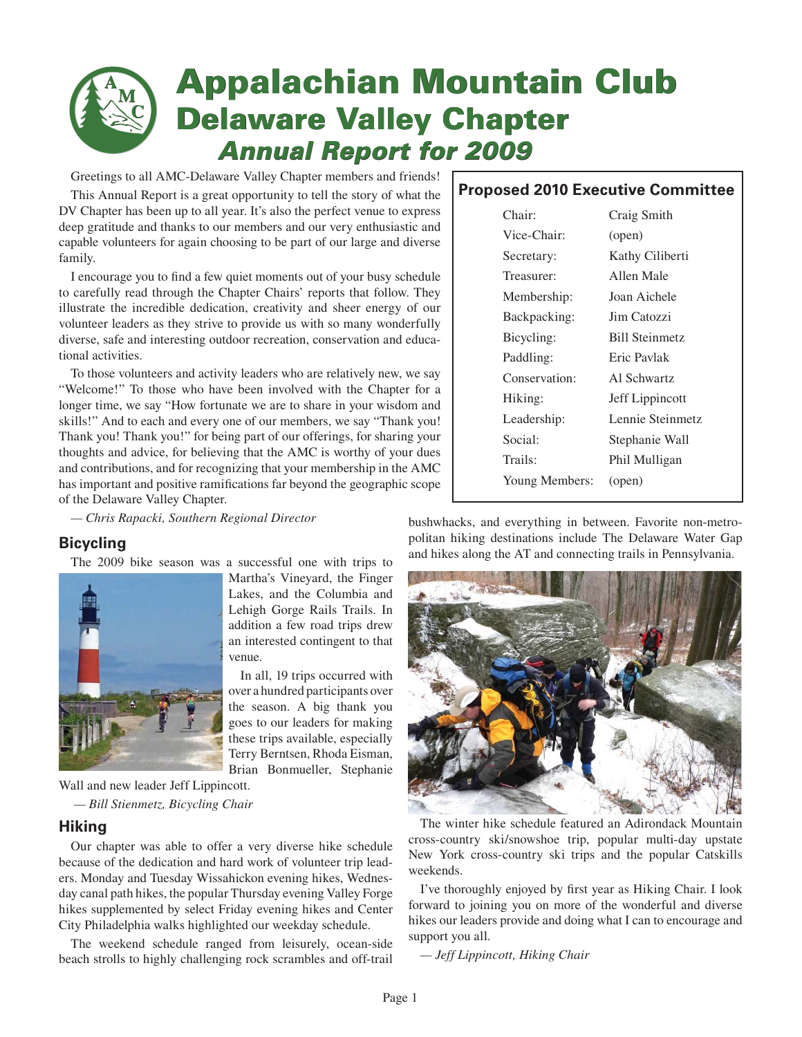# **Appalachian Mountain Club Appalachian Mountain Delaware Valley Chapter Delaware Valley Chapter** *Annual Report for 2009*  *Annual Report for 2009*

Greetings to all AMC-Delaware Valley Chapter members and friends!

This Annual Report is a great opportunity to tell the story of what the DV Chapter has been up to all year. It's also the perfect venue to express deep gratitude and thanks to our members and our very enthusiastic and capable volunteers for again choosing to be part of our large and diverse family.

I encourage you to find a few quiet moments out of your busy schedule to carefully read through the Chapter Chairs' reports that follow. They illustrate the incredible dedication, creativity and sheer energy of our volunteer leaders as they strive to provide us with so many wonderfully diverse, safe and interesting outdoor recreation, conservation and educational activities.

To those volunteers and activity leaders who are relatively new, we say "Welcome!" To those who have been involved with the Chapter for a longer time, we say "How fortunate we are to share in your wisdom and skills!" And to each and every one of our members, we say "Thank you! Thank you! Thank you!" for being part of our offerings, for sharing your thoughts and advice, for believing that the AMC is worthy of your dues and contributions, and for recognizing that your membership in the AMC has important and positive ramifications far beyond the geographic scope of the Delaware Valley Chapter.

*— Chris Rapacki, Southern Regional Director*

## **Bicycling**

The 2009 bike season was a successful one with trips to



Martha's Vineyard, the Finger Lakes, and the Columbia and Lehigh Gorge Rails Trails. In addition a few road trips drew an interested contingent to that venue.

In all, 19 trips occurred with over a hundred participants over the season. A big thank you goes to our leaders for making these trips available, especially Terry Berntsen, Rhoda Eisman, Brian Bonmueller, Stephanie

Wall and new leader Jeff Lippincott. *— Bill Stienmetz, Bicycling Chair*

## **Hiking**

Our chapter was able to offer a very diverse hike schedule because of the dedication and hard work of volunteer trip leaders. Monday and Tuesday Wissahickon evening hikes, Wednesday canal path hikes, the popular Thursday evening Valley Forge hikes supplemented by select Friday evening hikes and Center City Philadelphia walks highlighted our weekday schedule.

The weekend schedule ranged from leisurely, ocean-side beach strolls to highly challenging rock scrambles and off-trail

## **Proposed 2010 Executive Committee**

| Chair:         | Craig Smith           |
|----------------|-----------------------|
| Vice-Chair:    | (open)                |
| Secretary:     | Kathy Ciliberti       |
| Treasurer:     | Allen Male            |
| Membership:    | Joan Aichele          |
| Backpacking:   | Jim Catozzi           |
| Bicycling:     | <b>Bill Steinmetz</b> |
| Paddling:      | Eric Pavlak           |
| Conservation:  | Al Schwartz           |
| Hiking:        | Jeff Lippincott       |
| Leadership:    | Lennie Steinmetz      |
| Social:        | Stephanie Wall        |
| Trails:        | Phil Mulligan         |
| Young Members: | (open)                |

bushwhacks, and everything in between. Favorite non-metropolitan hiking destinations include The Delaware Water Gap and hikes along the AT and connecting trails in Pennsylvania.



The winter hike schedule featured an Adirondack Mountain cross-country ski/snowshoe trip, popular multi-day upstate New York cross-country ski trips and the popular Catskills weekends.

I've thoroughly enjoyed by first year as Hiking Chair. I look forward to joining you on more of the wonderful and diverse hikes our leaders provide and doing what I can to encourage and support you all.

*— Jeff Lippincott, Hiking Chair*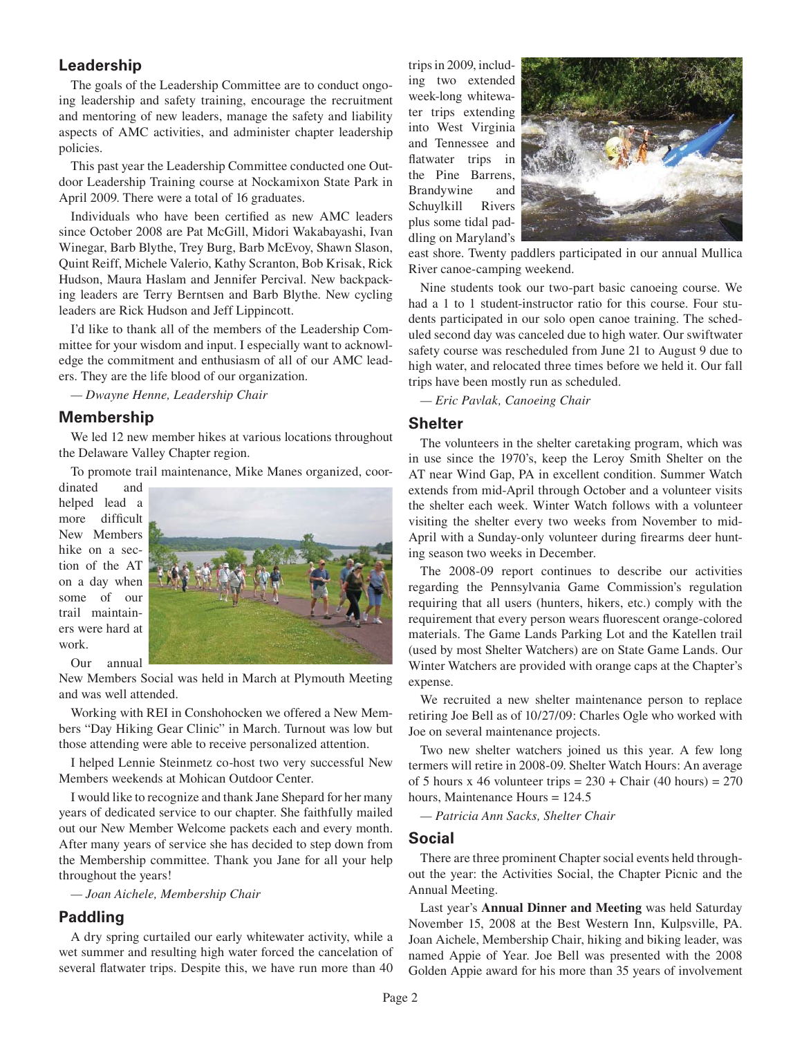## **Leadership**

The goals of the Leadership Committee are to conduct ongoing leadership and safety training, encourage the recruitment and mentoring of new leaders, manage the safety and liability aspects of AMC activities, and administer chapter leadership policies.

This past year the Leadership Committee conducted one Outdoor Leadership Training course at Nockamixon State Park in April 2009. There were a total of 16 graduates.

Individuals who have been certified as new AMC leaders since October 2008 are Pat McGill, Midori Wakabayashi, Ivan Winegar, Barb Blythe, Trey Burg, Barb McEvoy, Shawn Slason, Quint Reiff, Michele Valerio, Kathy Scranton, Bob Krisak, Rick Hudson, Maura Haslam and Jennifer Percival. New backpacking leaders are Terry Berntsen and Barb Blythe. New cycling leaders are Rick Hudson and Jeff Lippincott.

I'd like to thank all of the members of the Leadership Committee for your wisdom and input. I especially want to acknowledge the commitment and enthusiasm of all of our AMC leaders. They are the life blood of our organization.

*— Dwayne Henne, Leadership Chair*

#### **Membership**

We led 12 new member hikes at various locations throughout the Delaware Valley Chapter region.

To promote trail maintenance, Mike Manes organized, coor-

dinated and helped lead a more difficult New Members hike on a section of the AT on a day when some of our trail maintainers were hard at work.

Our annual



New Members Social was held in March at Plymouth Meeting and was well attended.

Working with REI in Conshohocken we offered a New Members "Day Hiking Gear Clinic" in March. Turnout was low but those attending were able to receive personalized attention.

I helped Lennie Steinmetz co-host two very successful New Members weekends at Mohican Outdoor Center.

I would like to recognize and thank Jane Shepard for her many years of dedicated service to our chapter. She faithfully mailed out our New Member Welcome packets each and every month. After many years of service she has decided to step down from the Membership committee. Thank you Jane for all your help throughout the years!

*— Joan Aichele, Membership Chair*

### **Paddling**

A dry spring curtailed our early whitewater activity, while a wet summer and resulting high water forced the cancelation of several flatwater trips. Despite this, we have run more than 40 trips in 2009, including two extended week-long whitewater trips extending into West Virginia and Tennessee and flatwater trips in the Pine Barrens, Brandywine and Schuylkill Rivers plus some tidal paddling on Maryland's



east shore. Twenty paddlers participated in our annual Mullica River canoe-camping weekend.

Nine students took our two-part basic canoeing course. We had a 1 to 1 student-instructor ratio for this course. Four students participated in our solo open canoe training. The scheduled second day was canceled due to high water. Our swiftwater safety course was rescheduled from June 21 to August 9 due to high water, and relocated three times before we held it. Our fall trips have been mostly run as scheduled.

*— Eric Pavlak, Canoeing Chair*

#### **Shelter**

The volunteers in the shelter caretaking program, which was in use since the 1970's, keep the Leroy Smith Shelter on the AT near Wind Gap, PA in excellent condition. Summer Watch extends from mid-April through October and a volunteer visits the shelter each week. Winter Watch follows with a volunteer visiting the shelter every two weeks from November to mid-April with a Sunday-only volunteer during firearms deer hunting season two weeks in December.

The 2008-09 report continues to describe our activities regarding the Pennsylvania Game Commission's regulation requiring that all users (hunters, hikers, etc.) comply with the requirement that every person wears fluorescent orange-colored materials. The Game Lands Parking Lot and the Katellen trail (used by most Shelter Watchers) are on State Game Lands. Our Winter Watchers are provided with orange caps at the Chapter's expense.

We recruited a new shelter maintenance person to replace retiring Joe Bell as of 10/27/09: Charles Ogle who worked with Joe on several maintenance projects.

Two new shelter watchers joined us this year. A few long termers will retire in 2008-09. Shelter Watch Hours: An average of 5 hours x 46 volunteer trips =  $230 +$ Chair (40 hours) =  $270$ hours, Maintenance Hours = 124.5

*— Patricia Ann Sacks, Shelter Chair*

#### **Social**

There are three prominent Chapter social events held throughout the year: the Activities Social, the Chapter Picnic and the Annual Meeting.

Last year's **Annual Dinner and Meeting** was held Saturday November 15, 2008 at the Best Western Inn, Kulpsville, PA. Joan Aichele, Membership Chair, hiking and biking leader, was named Appie of Year. Joe Bell was presented with the 2008 Golden Appie award for his more than 35 years of involvement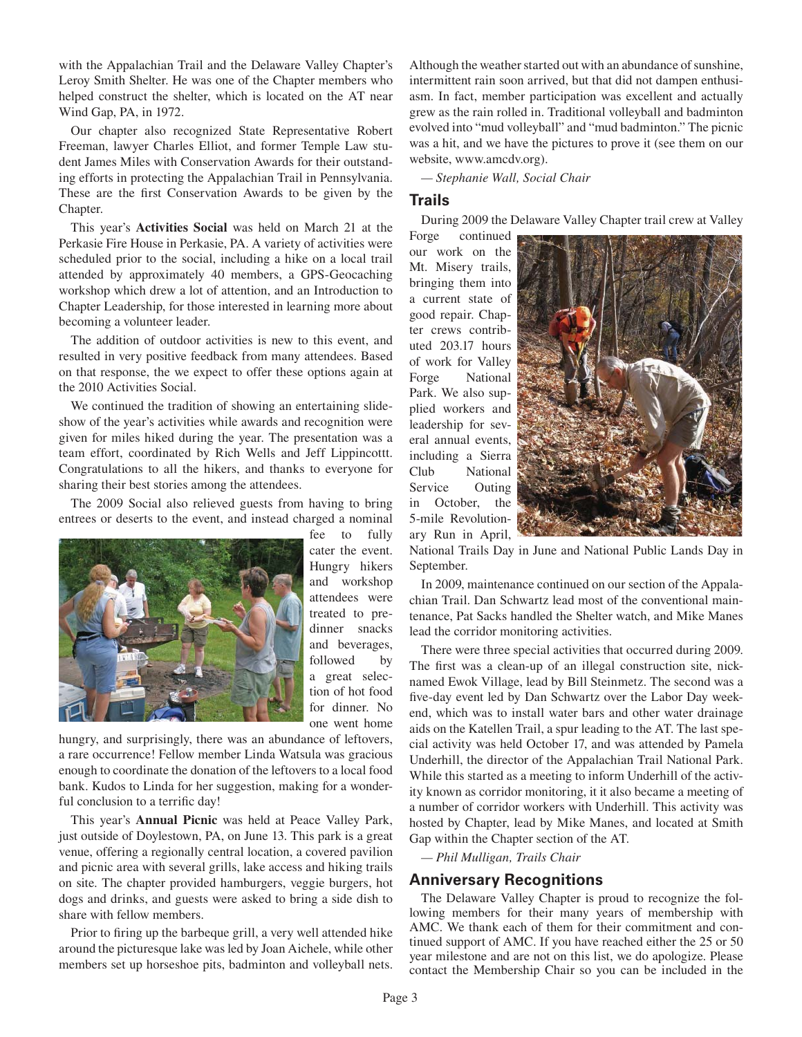with the Appalachian Trail and the Delaware Valley Chapter's Leroy Smith Shelter. He was one of the Chapter members who helped construct the shelter, which is located on the AT near Wind Gap, PA, in 1972.

Our chapter also recognized State Representative Robert Freeman, lawyer Charles Elliot, and former Temple Law student James Miles with Conservation Awards for their outstanding efforts in protecting the Appalachian Trail in Pennsylvania. These are the first Conservation Awards to be given by the Chapter.

This year's **Activities Social** was held on March 21 at the Perkasie Fire House in Perkasie, PA. A variety of activities were scheduled prior to the social, including a hike on a local trail attended by approximately 40 members, a GPS-Geocaching workshop which drew a lot of attention, and an Introduction to Chapter Leadership, for those interested in learning more about becoming a volunteer leader.

The addition of outdoor activities is new to this event, and resulted in very positive feedback from many attendees. Based on that response, the we expect to offer these options again at the 2010 Activities Social.

We continued the tradition of showing an entertaining slideshow of the year's activities while awards and recognition were given for miles hiked during the year. The presentation was a team effort, coordinated by Rich Wells and Jeff Lippincottt. Congratulations to all the hikers, and thanks to everyone for sharing their best stories among the attendees.

The 2009 Social also relieved guests from having to bring entrees or deserts to the event, and instead charged a nominal



fee to fully cater the event. Hungry hikers and workshop attendees were treated to predinner snacks and beverages, followed by a great selection of hot food for dinner. No one went home

hungry, and surprisingly, there was an abundance of leftovers, a rare occurrence! Fellow member Linda Watsula was gracious enough to coordinate the donation of the leftovers to a local food bank. Kudos to Linda for her suggestion, making for a wonderful conclusion to a terrific day!

This year's **Annual Picnic** was held at Peace Valley Park, just outside of Doylestown, PA, on June 13. This park is a great venue, offering a regionally central location, a covered pavilion and picnic area with several grills, lake access and hiking trails on site. The chapter provided hamburgers, veggie burgers, hot dogs and drinks, and guests were asked to bring a side dish to share with fellow members.

Prior to firing up the barbeque grill, a very well attended hike around the picturesque lake was led by Joan Aichele, while other members set up horseshoe pits, badminton and volleyball nets. Although the weather started out with an abundance of sunshine, intermittent rain soon arrived, but that did not dampen enthusiasm. In fact, member participation was excellent and actually grew as the rain rolled in. Traditional volleyball and badminton evolved into "mud volleyball" and "mud badminton." The picnic was a hit, and we have the pictures to prove it (see them on our website, www.amcdv.org).

*— Stephanie Wall, Social Chair*

#### **Trails**

During 2009 the Delaware Valley Chapter trail crew at Valley

Forge continued our work on the Mt. Misery trails, bringing them into a current state of good repair. Chapter crews contributed 203.17 hours of work for Valley Forge National Park. We also supplied workers and leadership for several annual events, including a Sierra Club National Service Outing in October, the 5-mile Revolutionary Run in April,



National Trails Day in June and National Public Lands Day in September.

In 2009, maintenance continued on our section of the Appalachian Trail. Dan Schwartz lead most of the conventional maintenance, Pat Sacks handled the Shelter watch, and Mike Manes lead the corridor monitoring activities.

There were three special activities that occurred during 2009. The first was a clean-up of an illegal construction site, nicknamed Ewok Village, lead by Bill Steinmetz. The second was a five-day event led by Dan Schwartz over the Labor Day weekend, which was to install water bars and other water drainage aids on the Katellen Trail, a spur leading to the AT. The last special activity was held October 17, and was attended by Pamela Underhill, the director of the Appalachian Trail National Park. While this started as a meeting to inform Underhill of the activity known as corridor monitoring, it it also became a meeting of a number of corridor workers with Underhill. This activity was hosted by Chapter, lead by Mike Manes, and located at Smith Gap within the Chapter section of the AT.

*— Phil Mulligan, Trails Chair*

#### **Anniversary Recognitions**

The Delaware Valley Chapter is proud to recognize the following members for their many years of membership with AMC. We thank each of them for their commitment and continued support of AMC. If you have reached either the 25 or 50 year milestone and are not on this list, we do apologize. Please contact the Membership Chair so you can be included in the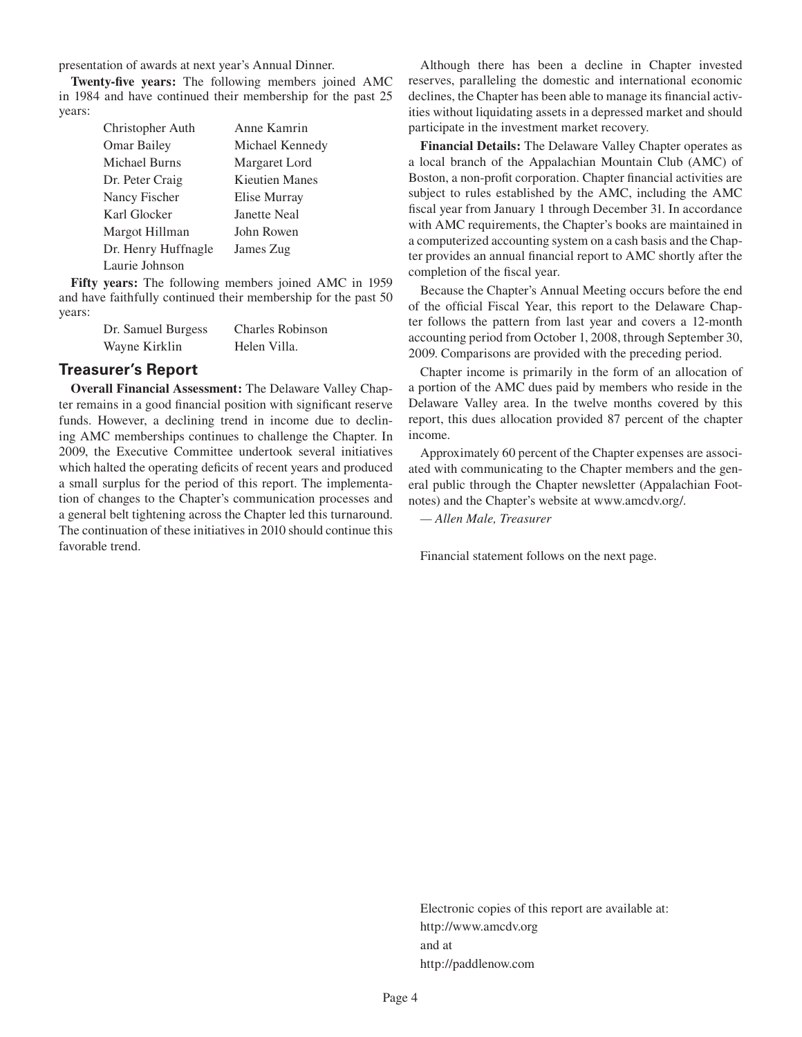presentation of awards at next year's Annual Dinner.

**Twenty-five years:** The following members joined AMC in 1984 and have continued their membership for the past 25 years:

| Christopher Auth     | Anne Kamrin     |
|----------------------|-----------------|
| <b>Omar Bailey</b>   | Michael Kennedy |
| <b>Michael Burns</b> | Margaret Lord   |
| Dr. Peter Craig      | Kieutien Manes  |
| Nancy Fischer        | Elise Murray    |
| Karl Glocker         | Janette Neal    |
| Margot Hillman       | John Rowen      |
| Dr. Henry Huffnagle  | James Zug       |
| Laurie Johnson       |                 |

**Fifty years:** The following members joined AMC in 1959 and have faithfully continued their membership for the past 50 years:

| Dr. Samuel Burgess | <b>Charles Robinson</b> |
|--------------------|-------------------------|
| Wayne Kirklin      | Helen Villa.            |

#### **Treasurer's Report**

**Overall Financial Assessment:** The Delaware Valley Chapter remains in a good financial position with significant reserve funds. However, a declining trend in income due to declining AMC memberships continues to challenge the Chapter. In 2009, the Executive Committee undertook several initiatives which halted the operating deficits of recent years and produced a small surplus for the period of this report. The implementation of changes to the Chapter's communication processes and a general belt tightening across the Chapter led this turnaround. The continuation of these initiatives in 2010 should continue this favorable trend.

Although there has been a decline in Chapter invested reserves, paralleling the domestic and international economic declines, the Chapter has been able to manage its financial activities without liquidating assets in a depressed market and should participate in the investment market recovery.

**Financial Details:** The Delaware Valley Chapter operates as a local branch of the Appalachian Mountain Club (AMC) of Boston, a non-profit corporation. Chapter financial activities are subject to rules established by the AMC, including the AMC fiscal year from January 1 through December 31. In accordance with AMC requirements, the Chapter's books are maintained in a computerized accounting system on a cash basis and the Chapter provides an annual financial report to AMC shortly after the completion of the fiscal year.

Because the Chapter's Annual Meeting occurs before the end of the official Fiscal Year, this report to the Delaware Chapter follows the pattern from last year and covers a 12-month accounting period from October 1, 2008, through September 30, 2009. Comparisons are provided with the preceding period.

Chapter income is primarily in the form of an allocation of a portion of the AMC dues paid by members who reside in the Delaware Valley area. In the twelve months covered by this report, this dues allocation provided 87 percent of the chapter income.

Approximately 60 percent of the Chapter expenses are associated with communicating to the Chapter members and the general public through the Chapter newsletter (Appalachian Footnotes) and the Chapter's website at www.amcdv.org/.

*— Allen Male, Treasurer*

Financial statement follows on the next page.

Electronic copies of this report are available at: http://www.amcdv.org and at http://paddlenow.com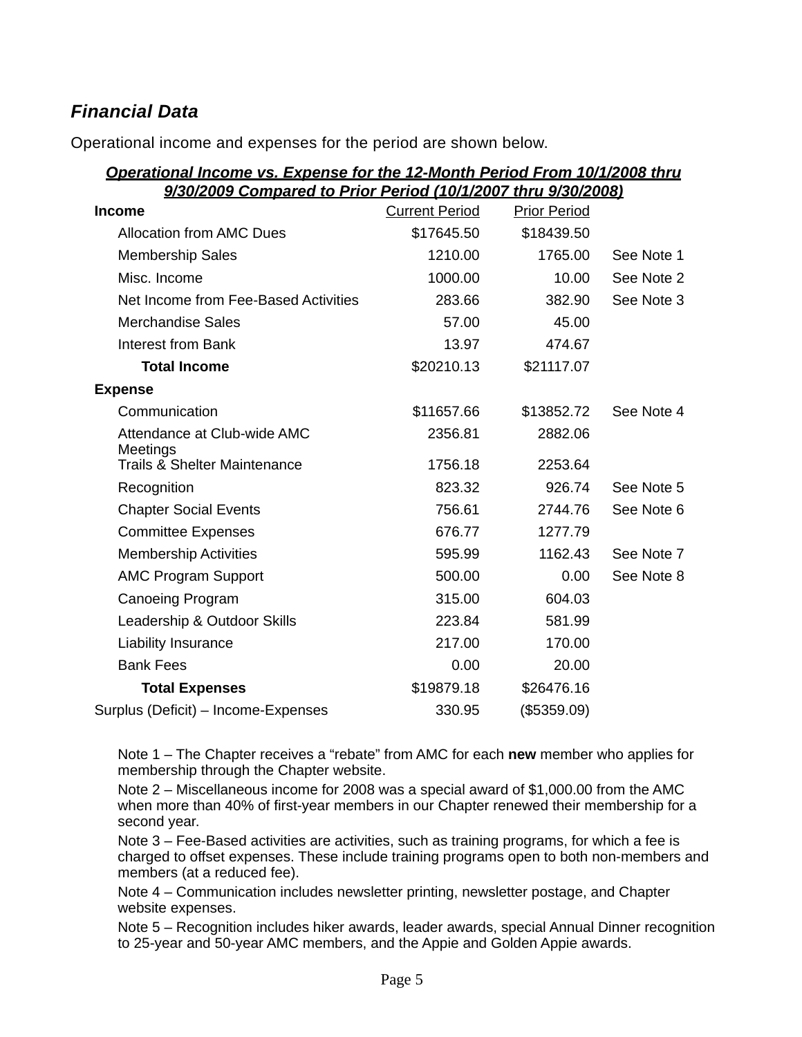# *Financial Data*

Operational income and expenses for the period are shown below.

# *Operational Income vs. Expense for the 12-Month Period From 10/1/2008 thru 9/30/2009 Compared to Prior Period (10/1/2007 thru 9/30/2008)*

| <b>Income</b>                           | <b>Current Period</b> | <b>Prior Period</b> |            |
|-----------------------------------------|-----------------------|---------------------|------------|
| <b>Allocation from AMC Dues</b>         | \$17645.50            | \$18439.50          |            |
| <b>Membership Sales</b>                 | 1210.00               | 1765.00             | See Note 1 |
| Misc. Income                            | 1000.00               | 10.00               | See Note 2 |
| Net Income from Fee-Based Activities    | 283.66                | 382.90              | See Note 3 |
| <b>Merchandise Sales</b>                | 57.00                 | 45.00               |            |
| <b>Interest from Bank</b>               | 13.97                 | 474.67              |            |
| <b>Total Income</b>                     | \$20210.13            | \$21117.07          |            |
| <b>Expense</b>                          |                       |                     |            |
| Communication                           | \$11657.66            | \$13852.72          | See Note 4 |
| Attendance at Club-wide AMC<br>Meetings | 2356.81               | 2882.06             |            |
| <b>Trails &amp; Shelter Maintenance</b> | 1756.18               | 2253.64             |            |
| Recognition                             | 823.32                | 926.74              | See Note 5 |
| <b>Chapter Social Events</b>            | 756.61                | 2744.76             | See Note 6 |
| <b>Committee Expenses</b>               | 676.77                | 1277.79             |            |
| <b>Membership Activities</b>            | 595.99                | 1162.43             | See Note 7 |
| <b>AMC Program Support</b>              | 500.00                | 0.00                | See Note 8 |
| <b>Canoeing Program</b>                 | 315.00                | 604.03              |            |
| Leadership & Outdoor Skills             | 223.84                | 581.99              |            |
| Liability Insurance                     | 217.00                | 170.00              |            |
| <b>Bank Fees</b>                        | 0.00                  | 20.00               |            |
| <b>Total Expenses</b>                   | \$19879.18            | \$26476.16          |            |
| Surplus (Deficit) - Income-Expenses     | 330.95                | (\$5359.09)         |            |

Note 1 – The Chapter receives a "rebate" from AMC for each **new** member who applies for membership through the Chapter website.

Note 2 – Miscellaneous income for 2008 was a special award of \$1,000.00 from the AMC when more than 40% of first-year members in our Chapter renewed their membership for a second year.

Note 3 – Fee-Based activities are activities, such as training programs, for which a fee is charged to offset expenses. These include training programs open to both non-members and members (at a reduced fee).

Note 4 – Communication includes newsletter printing, newsletter postage, and Chapter website expenses.

Note 5 – Recognition includes hiker awards, leader awards, special Annual Dinner recognition to 25-year and 50-year AMC members, and the Appie and Golden Appie awards.